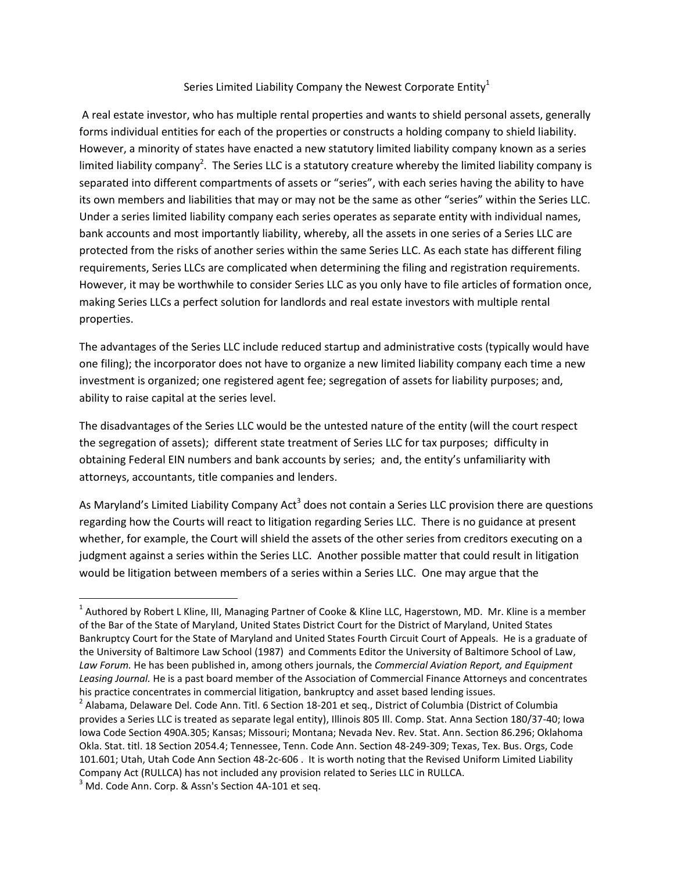## Series Limited Liability Company the Newest Corporate Entity<sup>1</sup>

A real estate investor, who has multiple rental properties and wants to shield personal assets, generally forms individual entities for each of the properties or constructs a holding company to shield liability. However, a minority of states have enacted a new statutory limited liability company known as a series limited liability company<sup>2</sup>. The Series LLC is a statutory creature whereby the limited liability company is separated into different compartments of assets or "series", with each series having the ability to have its own members and liabilities that may or may not be the same as other "series" within the Series LLC. Under a series limited liability company each series operates as separate entity with individual names, bank accounts and most importantly liability, whereby, all the assets in one series of a Series LLC are protected from the risks of another series within the same Series LLC. As each state has different filing requirements, Series LLCs are complicated when determining the filing and registration requirements. However, it may be worthwhile to consider Series LLC as you only have to file articles of formation once, making Series LLCs a perfect solution for landlords and real estate investors with multiple rental properties.

The advantages of the Series LLC include reduced startup and administrative costs (typically would have one filing); the incorporator does not have to organize a new limited liability company each time a new investment is organized; one registered agent fee; segregation of assets for liability purposes; and, ability to raise capital at the series level.

The disadvantages of the Series LLC would be the untested nature of the entity (will the court respect the segregation of assets); different state treatment of Series LLC for tax purposes; difficulty in obtaining Federal EIN numbers and bank accounts by series; and, the entity's unfamiliarity with attorneys, accountants, title companies and lenders.

As Maryland's Limited Liability Company Act<sup>3</sup> does not contain a Series LLC provision there are questions regarding how the Courts will react to litigation regarding Series LLC. There is no guidance at present whether, for example, the Court will shield the assets of the other series from creditors executing on a judgment against a series within the Series LLC. Another possible matter that could result in litigation would be litigation between members of a series within a Series LLC. One may argue that the

 $\overline{\phantom{a}}$ 

<sup>&</sup>lt;sup>1</sup> Authored by Robert L Kline, III, Managing Partner of Cooke & Kline LLC, Hagerstown, MD. Mr. Kline is a member of the Bar of the State of Maryland, United States District Court for the District of Maryland, United States Bankruptcy Court for the State of Maryland and United States Fourth Circuit Court of Appeals. He is a graduate of the University of Baltimore Law School (1987) and Comments Editor the University of Baltimore School of Law, *Law Forum.* He has been published in, among others journals, the *Commercial Aviation Report, and Equipment Leasing Journal.* He is a past board member of the Association of Commercial Finance Attorneys and concentrates his practice concentrates in commercial litigation, bankruptcy and asset based lending issues.

 $^2$  Alabama, Delaware Del. Code Ann. Titl. 6 Section 18-201 et seq., District of Columbia (District of Columbia provides a Series LLC is treated as separate legal entity), Illinois 805 Ill. Comp. Stat. Anna Section 180/37-40; Iowa Iowa Code Section 490A.305; Kansas; Missouri; Montana; Nevada Nev. Rev. Stat. Ann. Section 86.296; Oklahoma Okla. Stat. titl. 18 Section 2054.4; Tennessee, Tenn. Code Ann. Section 48-249-309; Texas, Tex. Bus. Orgs, Code 101.601; Utah, Utah Code Ann Section 48-2c-606 . It is worth noting that the Revised Uniform Limited Liability Company Act (RULLCA) has not included any provision related to Series LLC in RULLCA.

<sup>&</sup>lt;sup>3</sup> Md. Code Ann. Corp. & Assn's Section 4A-101 et seq.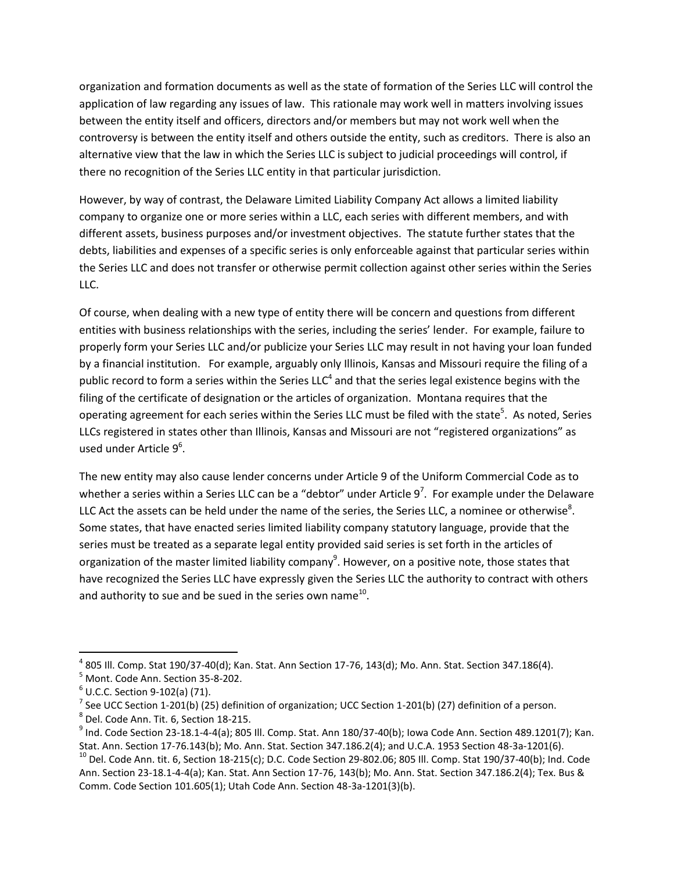organization and formation documents as well as the state of formation of the Series LLC will control the application of law regarding any issues of law. This rationale may work well in matters involving issues between the entity itself and officers, directors and/or members but may not work well when the controversy is between the entity itself and others outside the entity, such as creditors. There is also an alternative view that the law in which the Series LLC is subject to judicial proceedings will control, if there no recognition of the Series LLC entity in that particular jurisdiction.

However, by way of contrast, the Delaware Limited Liability Company Act allows a limited liability company to organize one or more series within a LLC, each series with different members, and with different assets, business purposes and/or investment objectives. The statute further states that the debts, liabilities and expenses of a specific series is only enforceable against that particular series within the Series LLC and does not transfer or otherwise permit collection against other series within the Series LLC.

Of course, when dealing with a new type of entity there will be concern and questions from different entities with business relationships with the series, including the series' lender. For example, failure to properly form your Series LLC and/or publicize your Series LLC may result in not having your loan funded by a financial institution. For example, arguably only Illinois, Kansas and Missouri require the filing of a public record to form a series within the Series LLC<sup>4</sup> and that the series legal existence begins with the filing of the certificate of designation or the articles of organization. Montana requires that the operating agreement for each series within the Series LLC must be filed with the state<sup>5</sup>. As noted, Series LLCs registered in states other than Illinois, Kansas and Missouri are not "registered organizations" as used under Article 9<sup>6</sup>.

The new entity may also cause lender concerns under Article 9 of the Uniform Commercial Code as to whether a series within a Series LLC can be a "debtor" under Article  $9^7$ . For example under the Delaware LLC Act the assets can be held under the name of the series, the Series LLC, a nominee or otherwise<sup>8</sup>. Some states, that have enacted series limited liability company statutory language, provide that the series must be treated as a separate legal entity provided said series is set forth in the articles of organization of the master limited liability company<sup>9</sup>. However, on a positive note, those states that have recognized the Series LLC have expressly given the Series LLC the authority to contract with others and authority to sue and be sued in the series own name<sup>10</sup>.

 $\overline{\phantom{a}}$ 

 $^4$  805 III. Comp. Stat 190/37-40(d); Kan. Stat. Ann Section 17-76, 143(d); Mo. Ann. Stat. Section 347.186(4).

<sup>5</sup> Mont. Code Ann. Section 35-8-202.

 $<sup>6</sup>$  U.C.C. Section 9-102(a) (71).</sup>

<sup>&</sup>lt;sup>7</sup> See UCC Section 1-201(b) (25) definition of organization; UCC Section 1-201(b) (27) definition of a person.

<sup>8</sup> Del. Code Ann. Tit. 6, Section 18-215.

 $^9$  Ind. Code Section 23-18.1-4-4(a); 805 Ill. Comp. Stat. Ann 180/37-40(b); Iowa Code Ann. Section 489.1201(7); Kan. Stat. Ann. Section 17-76.143(b); Mo. Ann. Stat. Section 347.186.2(4); and U.C.A. 1953 Section 48-3a-1201(6).

 $10$  Del. Code Ann. tit. 6, Section 18-215(c); D.C. Code Section 29-802.06; 805 Ill. Comp. Stat 190/37-40(b); Ind. Code Ann. Section 23-18.1-4-4(a); Kan. Stat. Ann Section 17-76, 143(b); Mo. Ann. Stat. Section 347.186.2(4); Tex. Bus & Comm. Code Section 101.605(1); Utah Code Ann. Section 48-3a-1201(3)(b).